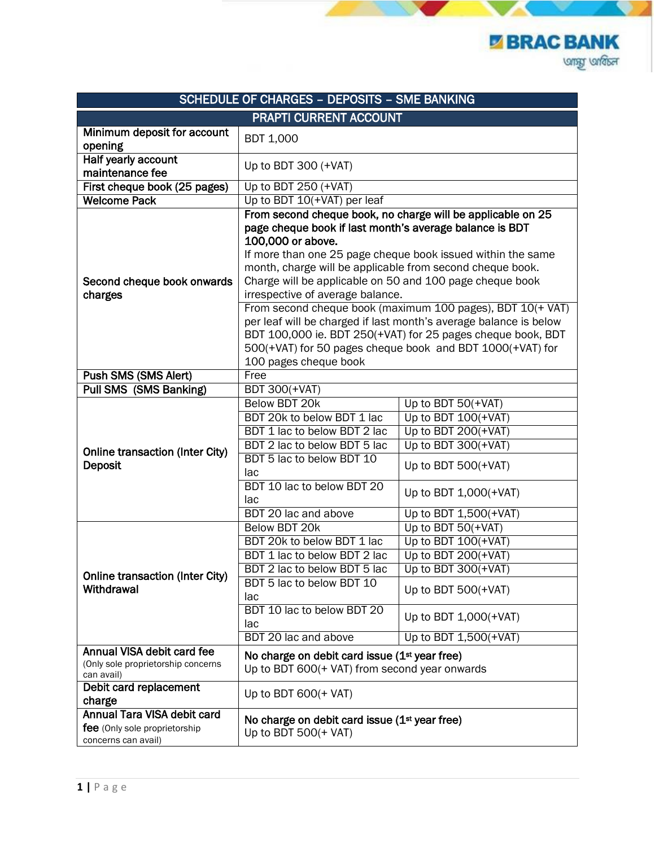**Z BRAC BANK ung under** 

|                                                                                     | <b>SCHEDULE OF CHARGES - DEPOSITS - SME BANKING</b>                                                                                                                                                                                                                |                                                                                                                                                                                                                                                                                                                                                                                           |
|-------------------------------------------------------------------------------------|--------------------------------------------------------------------------------------------------------------------------------------------------------------------------------------------------------------------------------------------------------------------|-------------------------------------------------------------------------------------------------------------------------------------------------------------------------------------------------------------------------------------------------------------------------------------------------------------------------------------------------------------------------------------------|
|                                                                                     | <b>PRAPTI CURRENT ACCOUNT</b>                                                                                                                                                                                                                                      |                                                                                                                                                                                                                                                                                                                                                                                           |
| Minimum deposit for account<br>opening                                              | <b>BDT 1,000</b>                                                                                                                                                                                                                                                   |                                                                                                                                                                                                                                                                                                                                                                                           |
| <b>Half yearly account</b><br>maintenance fee                                       | Up to BDT 300 (+VAT)                                                                                                                                                                                                                                               |                                                                                                                                                                                                                                                                                                                                                                                           |
| First cheque book (25 pages)                                                        | Up to BDT 250 (+VAT)                                                                                                                                                                                                                                               |                                                                                                                                                                                                                                                                                                                                                                                           |
| <b>Welcome Pack</b>                                                                 | Up to BDT 10(+VAT) per leaf                                                                                                                                                                                                                                        |                                                                                                                                                                                                                                                                                                                                                                                           |
| Second cheque book onwards<br>charges                                               | page cheque book if last month's average balance is BDT<br>100,000 or above.<br>month, charge will be applicable from second cheque book.<br>Charge will be applicable on 50 and 100 page cheque book<br>irrespective of average balance.<br>100 pages cheque book | From second cheque book, no charge will be applicable on 25<br>If more than one 25 page cheque book issued within the same<br>From second cheque book (maximum 100 pages), BDT 10(+ VAT)<br>per leaf will be charged if last month's average balance is below<br>BDT 100,000 ie. BDT 250(+VAT) for 25 pages cheque book, BDT<br>500(+VAT) for 50 pages cheque book and BDT 1000(+VAT) for |
| Push SMS (SMS Alert)                                                                | Free                                                                                                                                                                                                                                                               |                                                                                                                                                                                                                                                                                                                                                                                           |
| <b>Pull SMS (SMS Banking)</b>                                                       | <b>BDT 300(+VAT)</b>                                                                                                                                                                                                                                               |                                                                                                                                                                                                                                                                                                                                                                                           |
| <b>Online transaction (Inter City)</b><br>Deposit                                   | <b>Below BDT 20k</b><br>BDT 20k to below BDT 1 lac<br>BDT 1 lac to below BDT 2 lac<br>BDT 2 lac to below BDT 5 lac<br>BDT 5 lac to below BDT 10<br>lac<br>BDT 10 lac to below BDT 20<br>lac<br>BDT 20 lac and above                                                | Up to BDT $50(+VAT)$<br>Up to BDT 100(+VAT)<br>Up to BDT $200(+VAT)$<br>Up to BDT $300(+VAT)$<br>Up to BDT $500(+VAT)$<br>Up to BDT 1,000(+VAT)<br>Up to BDT 1,500(+VAT)                                                                                                                                                                                                                  |
| Online transaction (Inter City)<br>Withdrawal                                       | Below BDT 20k<br>BDT 20k to below BDT 1 lac<br>BDT 1 lac to below BDT 2 lac<br>BDT 2 lac to below BDT 5 lac<br>BDT 5 lac to below BDT 10<br>lac<br>BDT 10 lac to below BDT 20<br>lac<br>BDT 20 lac and above                                                       | Up to BDT 50(+VAT)<br>Up to BDT 100(+VAT)<br>Up to BDT 200(+VAT)<br>Up to BDT 300(+VAT)<br>Up to BDT $500(+VAT)$<br>Up to BDT 1,000(+VAT)<br>Up to BDT 1,500(+VAT)                                                                                                                                                                                                                        |
| Annual VISA debit card fee<br>(Only sole proprietorship concerns<br>can avail)      | No charge on debit card issue (1 <sup>st</sup> year free)<br>Up to BDT 600(+ VAT) from second year onwards                                                                                                                                                         |                                                                                                                                                                                                                                                                                                                                                                                           |
| Debit card replacement<br>charge                                                    | Up to BDT $600(+$ VAT)                                                                                                                                                                                                                                             |                                                                                                                                                                                                                                                                                                                                                                                           |
| Annual Tara VISA debit card<br>fee (Only sole proprietorship<br>concerns can avail) | No charge on debit card issue (1 <sup>st</sup> year free)<br>Up to BDT $500(+$ VAT)                                                                                                                                                                                |                                                                                                                                                                                                                                                                                                                                                                                           |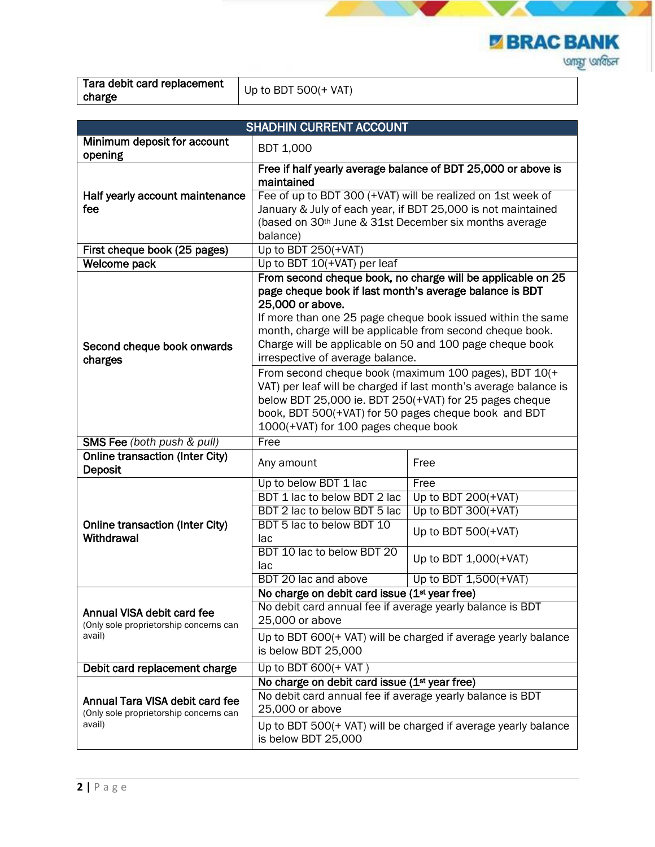**E BRAC BANK ung under** 

| Tara debit card replacement | $\bigcup$ Up to BDT 500(+ VAT) |
|-----------------------------|--------------------------------|
| charge                      |                                |

|                                                                                | <b>SHADHIN CURRENT ACCOUNT</b>                                                                                                                                                                                                                                                      |                                                                |
|--------------------------------------------------------------------------------|-------------------------------------------------------------------------------------------------------------------------------------------------------------------------------------------------------------------------------------------------------------------------------------|----------------------------------------------------------------|
| Minimum deposit for account<br>opening                                         | <b>BDT 1,000</b>                                                                                                                                                                                                                                                                    |                                                                |
|                                                                                | maintained                                                                                                                                                                                                                                                                          | Free if half yearly average balance of BDT 25,000 or above is  |
| Half yearly account maintenance                                                | Fee of up to BDT 300 (+VAT) will be realized on 1st week of                                                                                                                                                                                                                         |                                                                |
| fee                                                                            |                                                                                                                                                                                                                                                                                     | January & July of each year, if BDT 25,000 is not maintained   |
|                                                                                | (based on 30 <sup>th</sup> June & 31st December six months average                                                                                                                                                                                                                  |                                                                |
| First cheque book (25 pages)                                                   | balance)<br>Up to BDT $250(+VAT)$                                                                                                                                                                                                                                                   |                                                                |
| Welcome pack                                                                   | Up to BDT 10(+VAT) per leaf                                                                                                                                                                                                                                                         |                                                                |
|                                                                                |                                                                                                                                                                                                                                                                                     | From second cheque book, no charge will be applicable on 25    |
| Second cheque book onwards<br>charges                                          | page cheque book if last month's average balance is BDT<br>25,000 or above.<br>month, charge will be applicable from second cheque book.<br>Charge will be applicable on 50 and 100 page cheque book<br>irrespective of average balance.                                            | If more than one 25 page cheque book issued within the same    |
|                                                                                | From second cheque book (maximum 100 pages), BDT 10(+<br>VAT) per leaf will be charged if last month's average balance is<br>below BDT 25,000 ie. BDT 250(+VAT) for 25 pages cheque<br>book, BDT 500(+VAT) for 50 pages cheque book and BDT<br>1000(+VAT) for 100 pages cheque book |                                                                |
| SMS Fee (both push & pull)                                                     | Free                                                                                                                                                                                                                                                                                |                                                                |
| <b>Online transaction (Inter City)</b><br>Deposit                              | Any amount                                                                                                                                                                                                                                                                          | Free                                                           |
|                                                                                | Up to below BDT 1 lac                                                                                                                                                                                                                                                               | Free                                                           |
|                                                                                | BDT 1 lac to below BDT 2 lac                                                                                                                                                                                                                                                        | Up to BDT $200(+VAT)$                                          |
|                                                                                | BDT 2 lac to below BDT 5 lac                                                                                                                                                                                                                                                        | Up to BDT $300(+VAT)$                                          |
| <b>Online transaction (Inter City)</b><br>Withdrawal                           | BDT 5 lac to below BDT 10<br>lac                                                                                                                                                                                                                                                    | Up to BDT $500(+VAT)$                                          |
|                                                                                | BDT 10 lac to below BDT 20<br>lac                                                                                                                                                                                                                                                   | Up to BDT 1,000(+VAT)                                          |
|                                                                                | BDT 20 lac and above                                                                                                                                                                                                                                                                | Up to BDT 1,500(+VAT)                                          |
|                                                                                | No charge on debit card issue (1 <sup>st</sup> year free)                                                                                                                                                                                                                           |                                                                |
| Annual VISA debit card fee<br>(Only sole proprietorship concerns can<br>avail) | No debit card annual fee if average yearly balance is BDT<br>25,000 or above                                                                                                                                                                                                        |                                                                |
|                                                                                | Up to BDT 600(+ VAT) will be charged if average yearly balance<br>is below BDT 25,000                                                                                                                                                                                               |                                                                |
| Debit card replacement charge                                                  | Up to BDT $600(+VAT)$                                                                                                                                                                                                                                                               |                                                                |
|                                                                                | No charge on debit card issue (1 <sup>st</sup> year free)                                                                                                                                                                                                                           |                                                                |
| Annual Tara VISA debit card fee<br>(Only sole proprietorship concerns can      | No debit card annual fee if average yearly balance is BDT<br>25,000 or above                                                                                                                                                                                                        |                                                                |
| avail)                                                                         | is below BDT 25,000                                                                                                                                                                                                                                                                 | Up to BDT 500(+ VAT) will be charged if average yearly balance |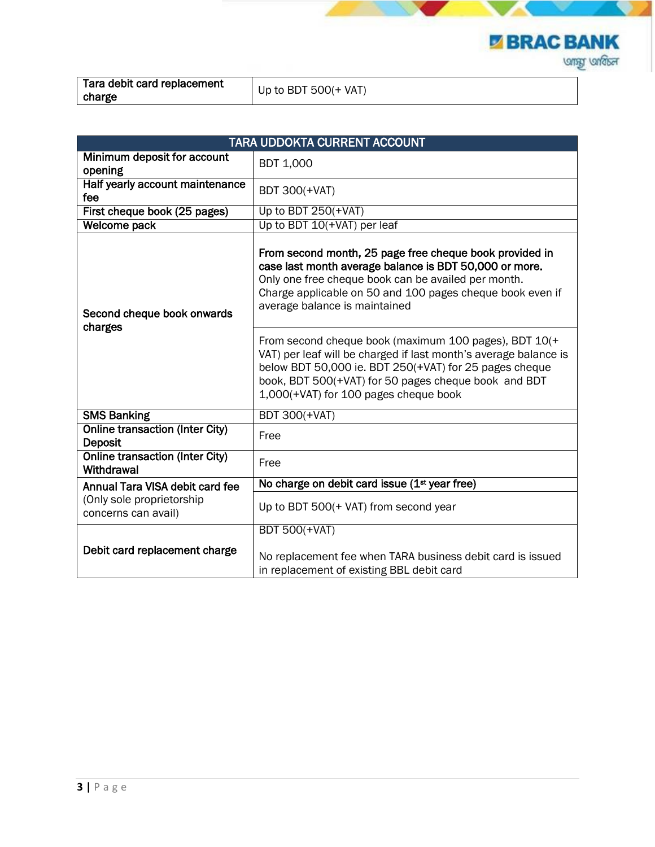**Z BRAC BANK ung under** 

| Tara debit card replacement | Up to BDT $500(+$ VAT) |  |
|-----------------------------|------------------------|--|
| charge                      |                        |  |

|                                                      | <b>TARA UDDOKTA CURRENT ACCOUNT</b>                                                                                                                                                                                                                                                  |
|------------------------------------------------------|--------------------------------------------------------------------------------------------------------------------------------------------------------------------------------------------------------------------------------------------------------------------------------------|
| Minimum deposit for account<br>opening               | <b>BDT 1,000</b>                                                                                                                                                                                                                                                                     |
| Half yearly account maintenance<br>fee               | <b>BDT 300(+VAT)</b>                                                                                                                                                                                                                                                                 |
| First cheque book (25 pages)                         | Up to BDT $250(+VAT)$                                                                                                                                                                                                                                                                |
| Welcome pack                                         | Up to BDT 10(+VAT) per leaf                                                                                                                                                                                                                                                          |
| Second cheque book onwards<br>charges                | From second month, 25 page free cheque book provided in<br>case last month average balance is BDT 50,000 or more.<br>Only one free cheque book can be availed per month.<br>Charge applicable on 50 and 100 pages cheque book even if<br>average balance is maintained               |
|                                                      | From second cheque book (maximum 100 pages), BDT 10(+<br>VAT) per leaf will be charged if last month's average balance is<br>below BDT 50,000 ie. BDT 250(+VAT) for 25 pages cheque<br>book, BDT 500(+VAT) for 50 pages cheque book and BDT<br>1,000(+VAT) for 100 pages cheque book |
| <b>SMS Banking</b>                                   | <b>BDT 300(+VAT)</b>                                                                                                                                                                                                                                                                 |
| <b>Online transaction (Inter City)</b><br>Deposit    | Free                                                                                                                                                                                                                                                                                 |
| <b>Online transaction (Inter City)</b><br>Withdrawal | Free                                                                                                                                                                                                                                                                                 |
| Annual Tara VISA debit card fee                      | No charge on debit card issue (1 <sup>st</sup> year free)                                                                                                                                                                                                                            |
| (Only sole proprietorship<br>concerns can avail)     | Up to BDT 500(+ VAT) from second year                                                                                                                                                                                                                                                |
|                                                      | <b>BDT 500(+VAT)</b>                                                                                                                                                                                                                                                                 |
| Debit card replacement charge                        | No replacement fee when TARA business debit card is issued<br>in replacement of existing BBL debit card                                                                                                                                                                              |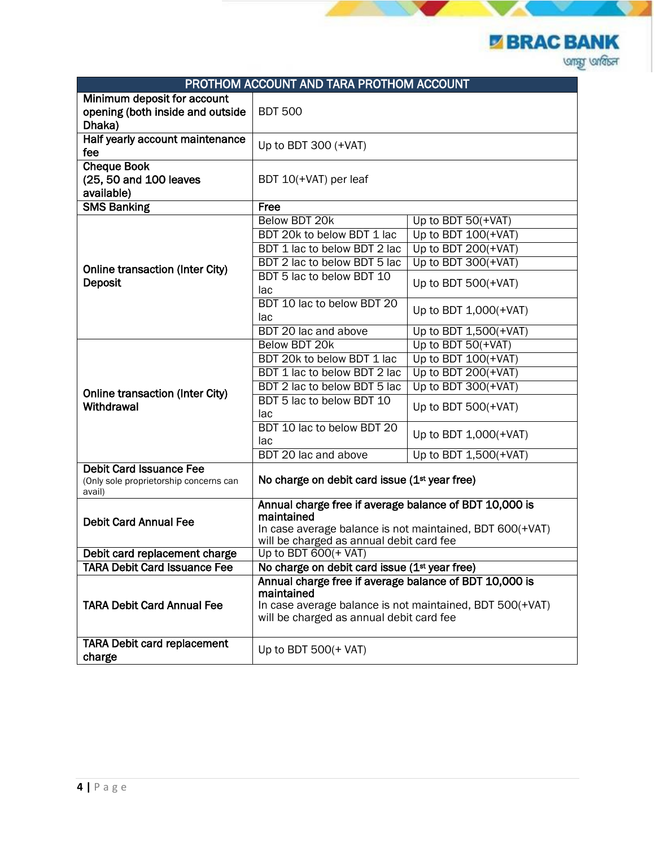**E BRAC BANK ung under** 

|                                                                                    | PROTHOM ACCOUNT AND TARA PROTHOM ACCOUNT                                                                                                                                     |                       |
|------------------------------------------------------------------------------------|------------------------------------------------------------------------------------------------------------------------------------------------------------------------------|-----------------------|
| Minimum deposit for account<br>opening (both inside and outside<br>Dhaka)          | <b>BDT 500</b>                                                                                                                                                               |                       |
| Half yearly account maintenance<br>fee                                             | Up to BDT 300 $(+VAT)$                                                                                                                                                       |                       |
| <b>Cheque Book</b><br>(25, 50 and 100 leaves<br>available)                         | BDT 10(+VAT) per leaf                                                                                                                                                        |                       |
| <b>SMS Banking</b>                                                                 | Free                                                                                                                                                                         |                       |
|                                                                                    | Below BDT 20k                                                                                                                                                                | Up to BDT $50(+VAT)$  |
|                                                                                    | BDT 20k to below BDT 1 lac                                                                                                                                                   | Up to BDT $100(+VAT)$ |
|                                                                                    | BDT 1 lac to below BDT 2 lac                                                                                                                                                 | Up to BDT $200(+VAT)$ |
|                                                                                    | BDT 2 lac to below BDT 5 lac                                                                                                                                                 | Up to BDT 300(+VAT)   |
| <b>Online transaction (Inter City)</b><br><b>Deposit</b>                           | BDT 5 lac to below BDT 10<br>lac                                                                                                                                             | Up to BDT $500(+VAT)$ |
|                                                                                    | BDT 10 lac to below BDT 20<br>lac                                                                                                                                            | Up to BDT 1,000(+VAT) |
|                                                                                    | BDT 20 lac and above                                                                                                                                                         | Up to BDT 1,500(+VAT) |
|                                                                                    | Below BDT 20k                                                                                                                                                                | Up to BDT 50(+VAT)    |
|                                                                                    | BDT 20k to below BDT 1 lac                                                                                                                                                   | Up to BDT $100(+VAT)$ |
|                                                                                    | BDT 1 lac to below BDT 2 lac                                                                                                                                                 | Up to BDT $200(+VAT)$ |
|                                                                                    | BDT 2 lac to below BDT 5 lac                                                                                                                                                 | Up to BDT $300(+VAT)$ |
| <b>Online transaction (Inter City)</b><br>Withdrawal                               | BDT 5 lac to below BDT 10<br>lac                                                                                                                                             | Up to BDT $500(+VAT)$ |
|                                                                                    | BDT 10 lac to below BDT 20<br>lac                                                                                                                                            | Up to BDT 1,000(+VAT) |
|                                                                                    | BDT 20 lac and above                                                                                                                                                         | Up to BDT 1,500(+VAT) |
| <b>Debit Card Issuance Fee</b><br>(Only sole proprietorship concerns can<br>avail) | No charge on debit card issue (1 <sup>st</sup> year free)                                                                                                                    |                       |
| <b>Debit Card Annual Fee</b>                                                       | Annual charge free if average balance of BDT 10,000 is<br>maintained<br>In case average balance is not maintained, BDT 600(+VAT)<br>will be charged as annual debit card fee |                       |
| Debit card replacement charge                                                      | Up to BDT 600(+ VAT)                                                                                                                                                         |                       |
| <b>TARA Debit Card Issuance Fee</b>                                                | No charge on debit card issue (1 <sup>st</sup> year free)                                                                                                                    |                       |
| <b>TARA Debit Card Annual Fee</b>                                                  | Annual charge free if average balance of BDT 10,000 is<br>maintained<br>In case average balance is not maintained, BDT 500(+VAT)<br>will be charged as annual debit card fee |                       |
| <b>TARA Debit card replacement</b><br>charge                                       | Up to BDT $500(+VAT)$                                                                                                                                                        |                       |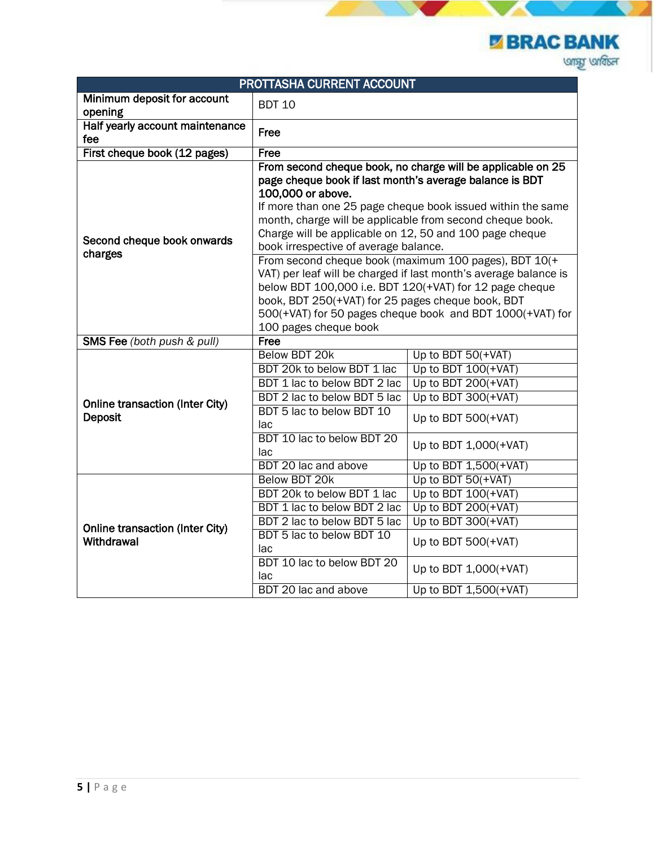**E BRAC BANK ung under** 

|                                                      | PROTTASHA CURRENT ACCOUNT                                                                                                                                                                                                                                                                                                   |                                                                                                                                                                                                                                                                                                                                                                                 |
|------------------------------------------------------|-----------------------------------------------------------------------------------------------------------------------------------------------------------------------------------------------------------------------------------------------------------------------------------------------------------------------------|---------------------------------------------------------------------------------------------------------------------------------------------------------------------------------------------------------------------------------------------------------------------------------------------------------------------------------------------------------------------------------|
| Minimum deposit for account<br>opening               | <b>BDT 10</b>                                                                                                                                                                                                                                                                                                               |                                                                                                                                                                                                                                                                                                                                                                                 |
| Half yearly account maintenance<br>fee               | Free                                                                                                                                                                                                                                                                                                                        |                                                                                                                                                                                                                                                                                                                                                                                 |
| First cheque book (12 pages)                         | Free                                                                                                                                                                                                                                                                                                                        |                                                                                                                                                                                                                                                                                                                                                                                 |
| Second cheque book onwards<br>charges                | page cheque book if last month's average balance is BDT<br>100,000 or above.<br>month, charge will be applicable from second cheque book.<br>Charge will be applicable on 12, 50 and 100 page cheque<br>book irrespective of average balance.<br>book, BDT 250(+VAT) for 25 pages cheque book, BDT<br>100 pages cheque book | From second cheque book, no charge will be applicable on 25<br>If more than one 25 page cheque book issued within the same<br>From second cheque book (maximum 100 pages), BDT 10(+<br>VAT) per leaf will be charged if last month's average balance is<br>below BDT 100,000 i.e. BDT 120(+VAT) for 12 page cheque<br>500(+VAT) for 50 pages cheque book and BDT 1000(+VAT) for |
| <b>SMS Fee</b> (both push & pull)                    | Free                                                                                                                                                                                                                                                                                                                        |                                                                                                                                                                                                                                                                                                                                                                                 |
|                                                      | Below BDT 20k                                                                                                                                                                                                                                                                                                               | Up to BDT 50(+VAT)                                                                                                                                                                                                                                                                                                                                                              |
|                                                      | BDT 20k to below BDT 1 lac                                                                                                                                                                                                                                                                                                  | Up to BDT $100(+VAT)$                                                                                                                                                                                                                                                                                                                                                           |
|                                                      | BDT 1 lac to below BDT 2 lac                                                                                                                                                                                                                                                                                                | Up to BDT $200(+VAT)$                                                                                                                                                                                                                                                                                                                                                           |
| <b>Online transaction (Inter City)</b>               | BDT 2 lac to below BDT 5 lac                                                                                                                                                                                                                                                                                                | Up to BDT $300(+VAT)$                                                                                                                                                                                                                                                                                                                                                           |
| <b>Deposit</b>                                       | BDT 5 lac to below BDT 10<br>lac                                                                                                                                                                                                                                                                                            | Up to BDT $500(+VAT)$                                                                                                                                                                                                                                                                                                                                                           |
|                                                      | BDT 10 lac to below BDT 20<br>lac                                                                                                                                                                                                                                                                                           | Up to BDT 1,000(+VAT)                                                                                                                                                                                                                                                                                                                                                           |
|                                                      | BDT 20 lac and above                                                                                                                                                                                                                                                                                                        | Up to BDT 1,500(+VAT)                                                                                                                                                                                                                                                                                                                                                           |
|                                                      | Below BDT 20k                                                                                                                                                                                                                                                                                                               | Up to BDT 50(+VAT)                                                                                                                                                                                                                                                                                                                                                              |
|                                                      | BDT 20k to below BDT 1 lac                                                                                                                                                                                                                                                                                                  | Up to BDT 100(+VAT)                                                                                                                                                                                                                                                                                                                                                             |
| <b>Online transaction (Inter City)</b><br>Withdrawal | BDT 1 lac to below BDT 2 lac                                                                                                                                                                                                                                                                                                | Up to BDT 200(+VAT)                                                                                                                                                                                                                                                                                                                                                             |
|                                                      | BDT 2 lac to below BDT 5 lac                                                                                                                                                                                                                                                                                                | Up to BDT 300(+VAT)                                                                                                                                                                                                                                                                                                                                                             |
|                                                      | BDT 5 lac to below BDT 10<br>lac                                                                                                                                                                                                                                                                                            | Up to BDT $500(+VAT)$                                                                                                                                                                                                                                                                                                                                                           |
|                                                      | BDT 10 lac to below BDT 20<br>lac                                                                                                                                                                                                                                                                                           | Up to BDT 1,000(+VAT)                                                                                                                                                                                                                                                                                                                                                           |
|                                                      | BDT 20 lac and above                                                                                                                                                                                                                                                                                                        | Up to BDT 1,500(+VAT)                                                                                                                                                                                                                                                                                                                                                           |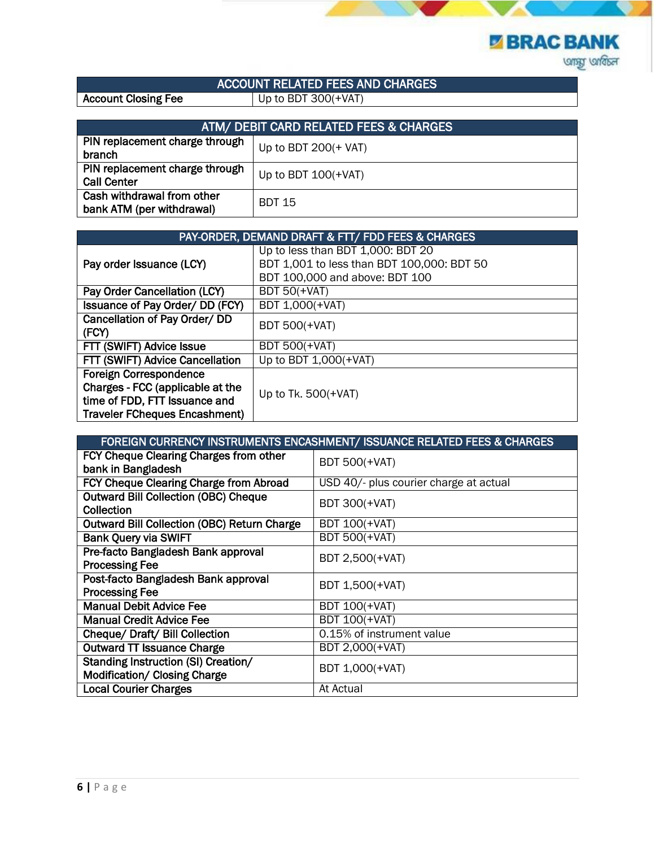

## ACCOUNT RELATED FEES AND CHARGES

Account Closing Fee Up to BDT 300(+VAT)

| ATM/ DEBIT CARD RELATED FEES & CHARGES                  |                       |
|---------------------------------------------------------|-----------------------|
| PIN replacement charge through<br>branch                | Up to BDT $200(+VAT)$ |
| PIN replacement charge through<br><b>Call Center</b>    | Up to BDT $100(+VAT)$ |
| Cash withdrawal from other<br>bank ATM (per withdrawal) | <b>BDT 15</b>         |

| PAY-ORDER, DEMAND DRAFT & FTT/ FDD FEES & CHARGES                                                                                          |                                                                                                                   |
|--------------------------------------------------------------------------------------------------------------------------------------------|-------------------------------------------------------------------------------------------------------------------|
| Pay order Issuance (LCY)                                                                                                                   | Up to less than BDT 1,000: BDT 20<br>BDT 1,001 to less than BDT 100,000: BDT 50<br>BDT 100,000 and above: BDT 100 |
| Pay Order Cancellation (LCY)                                                                                                               | <b>BDT 50(+VAT)</b>                                                                                               |
| Issuance of Pay Order/ DD (FCY)                                                                                                            | BDT 1,000(+VAT)                                                                                                   |
| Cancellation of Pay Order/ DD<br>(FCY)                                                                                                     | <b>BDT 500(+VAT)</b>                                                                                              |
| FTT (SWIFT) Advice Issue                                                                                                                   | <b>BDT 500(+VAT)</b>                                                                                              |
| FTT (SWIFT) Advice Cancellation                                                                                                            | Up to BDT 1,000(+VAT)                                                                                             |
| <b>Foreign Correspondence</b><br>Charges - FCC (applicable at the<br>time of FDD, FTT Issuance and<br><b>Traveler FCheques Encashment)</b> | Up to Tk. $500(+VAT)$                                                                                             |

| FOREIGN CURRENCY INSTRUMENTS ENCASHMENT/ ISSUANCE RELATED FEES & CHARGES   |                                        |  |
|----------------------------------------------------------------------------|----------------------------------------|--|
| FCY Cheque Clearing Charges from other<br>bank in Bangladesh               | <b>BDT 500(+VAT)</b>                   |  |
| <b>FCY Cheque Clearing Charge from Abroad</b>                              | USD 40/- plus courier charge at actual |  |
| <b>Outward Bill Collection (OBC) Cheque</b><br>Collection                  | <b>BDT 300(+VAT)</b>                   |  |
| <b>Outward Bill Collection (OBC) Return Charge</b>                         | <b>BDT 100(+VAT)</b>                   |  |
| <b>Bank Query via SWIFT</b>                                                | <b>BDT 500(+VAT)</b>                   |  |
| Pre-facto Bangladesh Bank approval<br><b>Processing Fee</b>                | BDT 2,500(+VAT)                        |  |
| Post-facto Bangladesh Bank approval<br><b>Processing Fee</b>               | BDT 1,500(+VAT)                        |  |
| <b>Manual Debit Advice Fee</b>                                             | <b>BDT 100(+VAT)</b>                   |  |
| <b>Manual Credit Advice Fee</b>                                            | <b>BDT 100(+VAT)</b>                   |  |
| Cheque/ Draft/ Bill Collection                                             | 0.15% of instrument value              |  |
| <b>Outward TT Issuance Charge</b>                                          | BDT 2,000(+VAT)                        |  |
| <b>Standing Instruction (SI) Creation/</b><br>Modification/ Closing Charge | BDT 1,000(+VAT)                        |  |
| <b>Local Courier Charges</b>                                               | At Actual                              |  |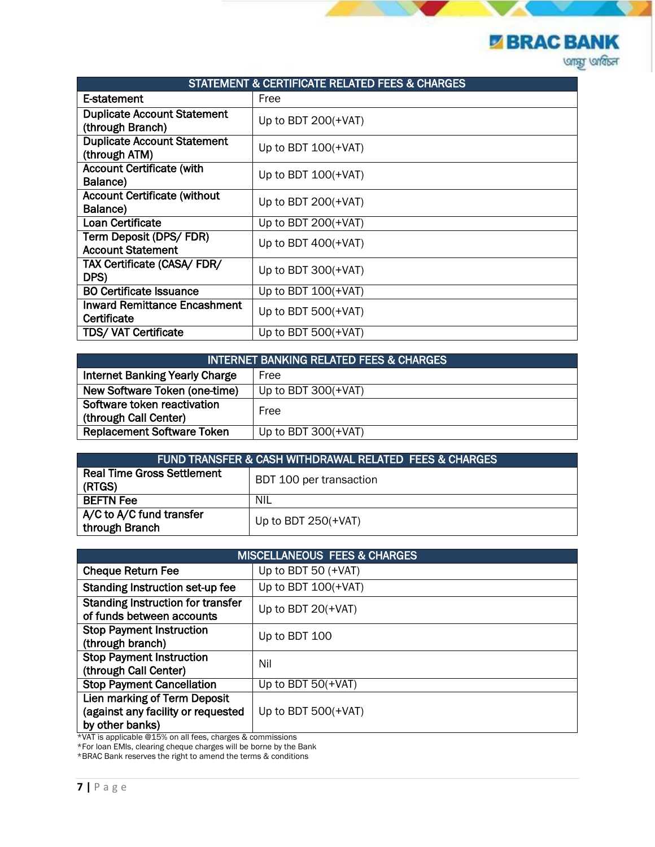**EXAC BANK** 

| <b>STATEMENT &amp; CERTIFICATE RELATED FEES &amp; CHARGES</b> |                       |
|---------------------------------------------------------------|-----------------------|
| E-statement                                                   | Free                  |
| <b>Duplicate Account Statement</b><br>(through Branch)        | Up to BDT $200(+VAT)$ |
| <b>Duplicate Account Statement</b><br>(through ATM)           | Up to BDT 100(+VAT)   |
| <b>Account Certificate (with</b><br>Balance)                  | Up to BDT $100(+VAT)$ |
| <b>Account Certificate (without</b><br>Balance)               | Up to BDT $200(+VAT)$ |
| Loan Certificate                                              | Up to BDT $200(+VAT)$ |
| Term Deposit (DPS/FDR)<br><b>Account Statement</b>            | Up to BDT $400(+VAT)$ |
| TAX Certificate (CASA/ FDR/<br>DPS)                           | Up to BDT $300(+VAT)$ |
| <b>BO Certificate Issuance</b>                                | Up to BDT $100(+VAT)$ |
| <b>Inward Remittance Encashment</b><br>Certificate            | Up to BDT $500(+VAT)$ |
| <b>TDS/ VAT Certificate</b>                                   | Up to BDT $500(+VAT)$ |

| <b>INTERNET BANKING RELATED FEES &amp; CHARGES</b> |                       |
|----------------------------------------------------|-----------------------|
| <b>Internet Banking Yearly Charge</b>              | Free                  |
| New Software Token (one-time)                      | Up to BDT $300(+VAT)$ |
| Software token reactivation                        | Free                  |
| (through Call Center)                              |                       |
| <b>Replacement Software Token</b>                  | Up to BDT $300(+VAT)$ |

| <b>FUND TRANSFER &amp; CASH WITHDRAWAL RELATED FEES &amp; CHARGES</b> |                         |
|-----------------------------------------------------------------------|-------------------------|
| <b>Real Time Gross Settlement</b><br>(RTGS)                           | BDT 100 per transaction |
| <b>BEFTN Fee</b>                                                      | NIL                     |
| A/C to A/C fund transfer<br>through Branch                            | Up to BDT $250(+VAT)$   |

| <b>MISCELLANEOUS FEES &amp; CHARGES</b>                                               |                       |
|---------------------------------------------------------------------------------------|-----------------------|
| <b>Cheque Return Fee</b>                                                              | Up to BDT 50 $(+VAT)$ |
| Standing Instruction set-up fee                                                       | Up to BDT $100(+VAT)$ |
| <b>Standing Instruction for transfer</b><br>of funds between accounts                 | Up to BDT $20(+VAT)$  |
| <b>Stop Payment Instruction</b><br>(through branch)                                   | Up to BDT 100         |
| <b>Stop Payment Instruction</b><br>(through Call Center)                              | Nil                   |
| <b>Stop Payment Cancellation</b>                                                      | Up to BDT $50(+VAT)$  |
| Lien marking of Term Deposit<br>(against any facility or requested<br>by other banks) | Up to BDT $500(+VAT)$ |

\*VAT is applicable @15% on all fees, charges & commissions

\*For loan EMIs, clearing cheque charges will be borne by the Bank

\*BRAC Bank reserves the right to amend the terms & conditions